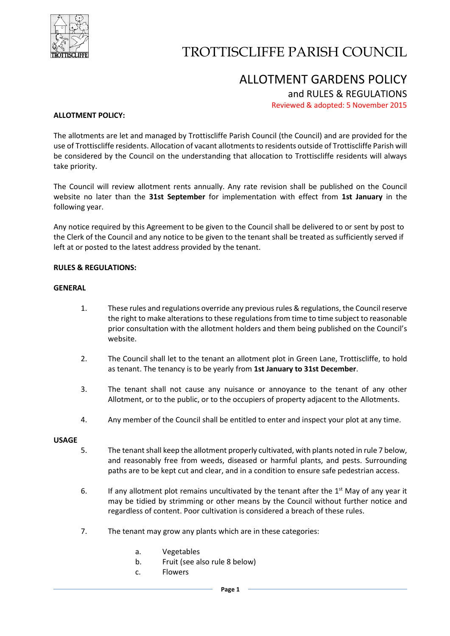

# TROTTISCLIFFE PARISH COUNCIL

# ALLOTMENT GARDENS POLICY and RULES & REGULATIONS Reviewed & adopted: 5 November 2015

#### **ALLOTMENT POLICY:**

The allotments are let and managed by Trottiscliffe Parish Council (the Council) and are provided for the use of Trottiscliffe residents. Allocation of vacant allotments to residents outside of Trottiscliffe Parish will be considered by the Council on the understanding that allocation to Trottiscliffe residents will always take priority.

The Council will review allotment rents annually. Any rate revision shall be published on the Council website no later than the **31st September** for implementation with effect from **1st January** in the following year.

Any notice required by this Agreement to be given to the Council shall be delivered to or sent by post to the Clerk of the Council and any notice to be given to the tenant shall be treated as sufficiently served if left at or posted to the latest address provided by the tenant.

#### **RULES & REGULATIONS:**

#### **GENERAL**

- 1. These rules and regulations override any previous rules & regulations, the Council reserve the right to make alterations to these regulations from time to time subject to reasonable prior consultation with the allotment holders and them being published on the Council's website.
- 2. The Council shall let to the tenant an allotment plot in Green Lane, Trottiscliffe, to hold as tenant. The tenancy is to be yearly from **1st January to 31st December**.
- 3. The tenant shall not cause any nuisance or annoyance to the tenant of any other Allotment, or to the public, or to the occupiers of property adjacent to the Allotments.
- 4. Any member of the Council shall be entitled to enter and inspect your plot at any time.

# **USAGE**

- 5. The tenant shall keep the allotment properly cultivated, with plants noted in rule 7 below, and reasonably free from weeds, diseased or harmful plants, and pests. Surrounding paths are to be kept cut and clear, and in a condition to ensure safe pedestrian access.
- 6. If any allotment plot remains uncultivated by the tenant after the  $1<sup>st</sup>$  May of any year it may be tidied by strimming or other means by the Council without further notice and regardless of content. Poor cultivation is considered a breach of these rules.
- 7. The tenant may grow any plants which are in these categories:
	- a. Vegetables
	- b. Fruit (see also rule 8 below)
	- c. Flowers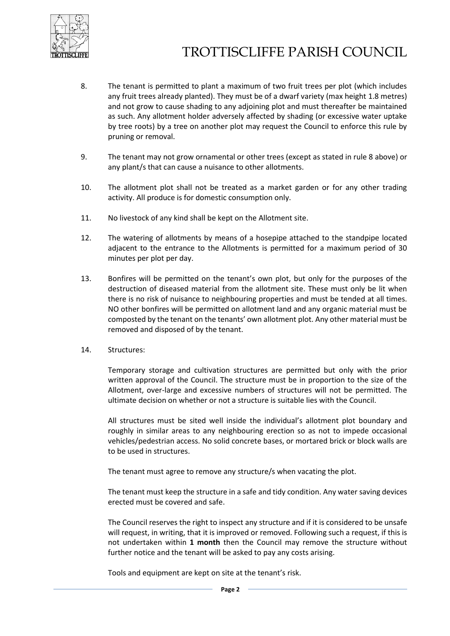

- 8. The tenant is permitted to plant a maximum of two fruit trees per plot (which includes any fruit trees already planted). They must be of a dwarf variety (max height 1.8 metres) and not grow to cause shading to any adjoining plot and must thereafter be maintained as such. Any allotment holder adversely affected by shading (or excessive water uptake by tree roots) by a tree on another plot may request the Council to enforce this rule by pruning or removal.
- 9. The tenant may not grow ornamental or other trees (except as stated in rule 8 above) or any plant/s that can cause a nuisance to other allotments.
- 10. The allotment plot shall not be treated as a market garden or for any other trading activity. All produce is for domestic consumption only.
- 11. No livestock of any kind shall be kept on the Allotment site.
- 12. The watering of allotments by means of a hosepipe attached to the standpipe located adjacent to the entrance to the Allotments is permitted for a maximum period of 30 minutes per plot per day.
- 13. Bonfires will be permitted on the tenant's own plot, but only for the purposes of the destruction of diseased material from the allotment site. These must only be lit when there is no risk of nuisance to neighbouring properties and must be tended at all times. NO other bonfires will be permitted on allotment land and any organic material must be composted by the tenant on the tenants' own allotment plot. Any other material must be removed and disposed of by the tenant.
- 14. Structures:

Temporary storage and cultivation structures are permitted but only with the prior written approval of the Council. The structure must be in proportion to the size of the Allotment, over-large and excessive numbers of structures will not be permitted. The ultimate decision on whether or not a structure is suitable lies with the Council.

All structures must be sited well inside the individual's allotment plot boundary and roughly in similar areas to any neighbouring erection so as not to impede occasional vehicles/pedestrian access. No solid concrete bases, or mortared brick or block walls are to be used in structures.

The tenant must agree to remove any structure/s when vacating the plot.

The tenant must keep the structure in a safe and tidy condition. Any water saving devices erected must be covered and safe.

The Council reserves the right to inspect any structure and if it is considered to be unsafe will request, in writing, that it is improved or removed. Following such a request, if this is not undertaken within **1 month** then the Council may remove the structure without further notice and the tenant will be asked to pay any costs arising.

Tools and equipment are kept on site at the tenant's risk.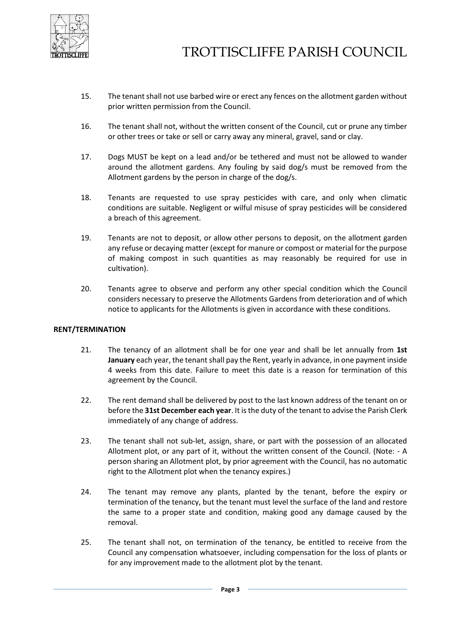

- 15. The tenant shall not use barbed wire or erect any fences on the allotment garden without prior written permission from the Council.
- 16. The tenant shall not, without the written consent of the Council, cut or prune any timber or other trees or take or sell or carry away any mineral, gravel, sand or clay.
- 17. Dogs MUST be kept on a lead and/or be tethered and must not be allowed to wander around the allotment gardens. Any fouling by said dog/s must be removed from the Allotment gardens by the person in charge of the dog/s.
- 18. Tenants are requested to use spray pesticides with care, and only when climatic conditions are suitable. Negligent or wilful misuse of spray pesticides will be considered a breach of this agreement.
- 19. Tenants are not to deposit, or allow other persons to deposit, on the allotment garden any refuse or decaying matter (except for manure or compost or material for the purpose of making compost in such quantities as may reasonably be required for use in cultivation).
- 20. Tenants agree to observe and perform any other special condition which the Council considers necessary to preserve the Allotments Gardens from deterioration and of which notice to applicants for the Allotments is given in accordance with these conditions.

### **RENT/TERMINATION**

- 21. The tenancy of an allotment shall be for one year and shall be let annually from **1st January** each year, the tenant shall pay the Rent, yearly in advance, in one payment inside 4 weeks from this date. Failure to meet this date is a reason for termination of this agreement by the Council.
- 22. The rent demand shall be delivered by post to the last known address of the tenant on or before the **31st December each year**. It is the duty of the tenant to advise the Parish Clerk immediately of any change of address.
- 23. The tenant shall not sub-let, assign, share, or part with the possession of an allocated Allotment plot, or any part of it, without the written consent of the Council. (Note: - A person sharing an Allotment plot, by prior agreement with the Council, has no automatic right to the Allotment plot when the tenancy expires.)
- 24. The tenant may remove any plants, planted by the tenant, before the expiry or termination of the tenancy, but the tenant must level the surface of the land and restore the same to a proper state and condition, making good any damage caused by the removal.
- 25. The tenant shall not, on termination of the tenancy, be entitled to receive from the Council any compensation whatsoever, including compensation for the loss of plants or for any improvement made to the allotment plot by the tenant.